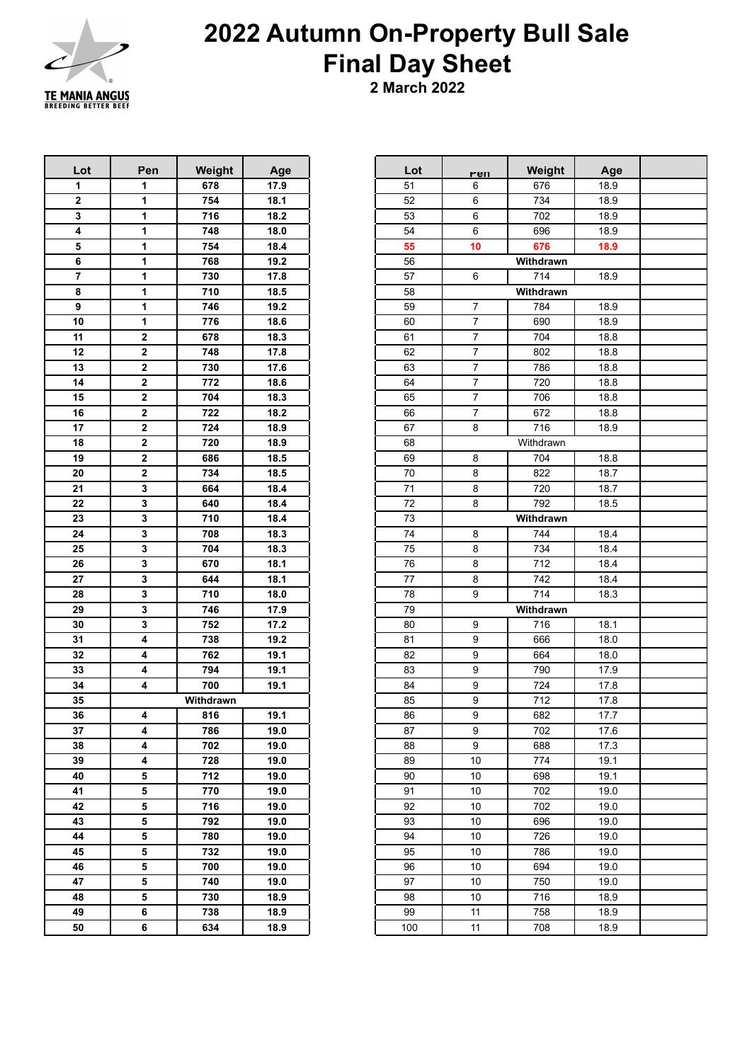

## **Autumn On-Property Bull Sale Final Day Sheet**

**2 March 2022**

| Lot                     | Pen         | Weight    | Age  | Lot | <u>ren</u>     | Weight    |
|-------------------------|-------------|-----------|------|-----|----------------|-----------|
| 1                       | 1           | 678       | 17.9 | 51  | 6              | 676       |
| $\overline{\mathbf{2}}$ | 1           | 754       | 18.1 | 52  | 6              | 734       |
| 3                       | 1           | 716       | 18.2 | 53  | 6              | 702       |
| 4                       | 1           | 748       | 18.0 | 54  | 6              | 696       |
| 5                       | 1           | 754       | 18.4 | 55  | 10             | 676       |
| 6                       | 1           | 768       | 19.2 | 56  |                | Withdrawn |
| 7                       | 1           | 730       | 17.8 | 57  | 6              | 714       |
| 8                       | 1           | 710       | 18.5 | 58  |                | Withdrawn |
| 9                       | 1           | 746       | 19.2 | 59  | 7              | 784       |
| 10                      | 1           | 776       | 18.6 | 60  | $\overline{7}$ | 690       |
| 11                      | $\mathbf 2$ | 678       | 18.3 | 61  | $\overline{7}$ | 704       |
| 12                      | $\mathbf 2$ | 748       | 17.8 | 62  | $\overline{7}$ | 802       |
| 13                      | $\mathbf 2$ | 730       | 17.6 | 63  | $\overline{7}$ | 786       |
| 14                      | $\mathbf 2$ | 772       | 18.6 | 64  | $\overline{7}$ | 720       |
| 15                      | $\mathbf 2$ | 704       | 18.3 | 65  | $\overline{7}$ | 706       |
| 16                      | $\mathbf 2$ | 722       | 18.2 | 66  | $\overline{7}$ | 672       |
| 17                      | $\mathbf 2$ | 724       | 18.9 | 67  | 8              | 716       |
| 18                      | $\mathbf 2$ | 720       | 18.9 | 68  |                | Withdrawn |
| 19                      | $\mathbf 2$ | 686       | 18.5 | 69  | 8              | 704       |
| 20                      | $\mathbf 2$ | 734       | 18.5 | 70  | 8              | 822       |
| 21                      | 3           | 664       | 18.4 | 71  | 8              | 720       |
| 22                      | 3           | 640       | 18.4 | 72  | 8              | 792       |
| 23                      | 3           | 710       | 18.4 | 73  |                | Withdrawn |
| 24                      | 3           | 708       | 18.3 | 74  | 8              | 744       |
| 25                      | 3           | 704       | 18.3 | 75  | 8              | 734       |
| 26                      | 3           | 670       | 18.1 | 76  | 8              | 712       |
| 27                      | 3           | 644       | 18.1 | 77  | 8              | 742       |
| 28                      | 3           | 710       | 18.0 | 78  | 9              | 714       |
| 29                      | 3           | 746       | 17.9 | 79  |                | Withdrawn |
| 30                      | 3           | 752       | 17.2 | 80  | 9              | 716       |
| 31                      | 4           | 738       | 19.2 | 81  | 9              | 666       |
| 32                      | 4           | 762       | 19.1 | 82  | 9              | 664       |
| 33                      | 4           | 794       | 19.1 | 83  | 9              | 790       |
| 34                      | 4           | 700       | 19.1 | 84  | 9              | 724       |
| 35                      |             | Withdrawn |      | 85  | 9              | 712       |
| 36                      | 4           | 816       | 19.1 | 86  | 9              | 682       |
| 37                      | 4           | 786       | 19.0 | 87  | 9              | 702       |
| 38                      | 4           | 702       | 19.0 | 88  | 9              | 688       |
| 39                      | 4           | 728       | 19.0 | 89  | $10$           | 774       |
| 40                      | 5           | 712       | 19.0 | 90  | 10             | 698       |
| 41                      | 5           | 770       | 19.0 | 91  | 10             | 702       |
| 42                      | 5           | 716       | 19.0 | 92  | 10             | 702       |
| 43                      | 5           | 792       | 19.0 | 93  | 10             | 696       |
| 44                      | 5           | 780       | 19.0 | 94  | 10             | 726       |
| 45                      | 5           | 732       | 19.0 | 95  | 10             | 786       |
| 46                      | 5           | 700       | 19.0 | 96  | 10             | 694       |
| 47                      | 5           | 740       | 19.0 | 97  | 10             | 750       |
| 48                      | 5           | 730       | 18.9 | 98  | $10$           | 716       |
| 49                      | 6           | 738       | 18.9 | 99  | 11             | 758       |
| 50                      | 6           | 634       | 18.9 | 100 | 11             | 708       |
|                         |             |           |      |     |                |           |

| Lot                     | Pen                     | Weight    | Age  | Lot | <u>ren</u>     | Weight    | Age  |  |
|-------------------------|-------------------------|-----------|------|-----|----------------|-----------|------|--|
| $\mathbf{1}$            | 1                       | 678       | 17.9 | 51  | 6              | 676       | 18.9 |  |
| $\boldsymbol{2}$        | 1                       | 754       | 18.1 | 52  | 6              | 734       | 18.9 |  |
| $\overline{\mathbf{3}}$ | 1                       | 716       | 18.2 | 53  | 6              | 702       | 18.9 |  |
| $\overline{4}$          | 1                       | 748       | 18.0 | 54  | 6              | 696       | 18.9 |  |
| ${\bf 5}$               | 1                       | 754       | 18.4 | 55  | 10             | 676       | 18.9 |  |
| $\bf 6$                 | 1                       | 768       | 19.2 | 56  |                | Withdrawn |      |  |
| $\overline{\mathbf{z}}$ | 1                       | 730       | 17.8 | 57  | 6              | 714       | 18.9 |  |
| $\bf 8$                 | 1                       | 710       | 18.5 | 58  |                | Withdrawn |      |  |
| 9                       | 1                       | 746       | 19.2 | 59  | $\overline{7}$ | 784       | 18.9 |  |
| 10                      | 1                       | 776       | 18.6 | 60  | $\overline{7}$ | 690       | 18.9 |  |
| 11                      | $\boldsymbol{2}$        | 678       | 18.3 | 61  | $\overline{7}$ | 704       | 18.8 |  |
| 12                      | $\boldsymbol{2}$        | 748       | 17.8 | 62  | $\overline{7}$ | 802       | 18.8 |  |
| 13                      | $\boldsymbol{2}$        | 730       | 17.6 | 63  | $\overline{7}$ | 786       | 18.8 |  |
| 14                      | $\overline{\mathbf{2}}$ | 772       | 18.6 | 64  | $\overline{7}$ | 720       | 18.8 |  |
| 15                      | $\boldsymbol{2}$        | 704       | 18.3 | 65  | $\overline{7}$ | 706       | 18.8 |  |
| 16                      | $\overline{\mathbf{2}}$ | 722       | 18.2 | 66  | $\overline{7}$ | 672       | 18.8 |  |
| 17                      | $\boldsymbol{2}$        | 724       | 18.9 | 67  | 8              | 716       | 18.9 |  |
| 18                      | $\overline{\mathbf{2}}$ | 720       | 18.9 | 68  |                | Withdrawn |      |  |
| 19                      | $\boldsymbol{2}$        | 686       | 18.5 | 69  | 8              | 704       | 18.8 |  |
| 20                      | $\overline{\mathbf{2}}$ | 734       | 18.5 | 70  | 8              | 822       | 18.7 |  |
| 21                      | 3                       | 664       | 18.4 | 71  | 8              | 720       | 18.7 |  |
| 22                      | 3                       | 640       | 18.4 | 72  | 8              | 792       | 18.5 |  |
| 23                      | $\mathbf 3$             | 710       | 18.4 | 73  |                | Withdrawn |      |  |
| 24                      | 3                       | 708       | 18.3 | 74  | 8              | 744       | 18.4 |  |
| 25                      | $\mathbf 3$             | 704       | 18.3 | 75  | 8              | 734       | 18.4 |  |
| 26                      | 3                       | 670       | 18.1 | 76  | 8              | 712       | 18.4 |  |
| 27                      | $\mathbf 3$             | 644       | 18.1 | 77  | 8              | 742       | 18.4 |  |
| 28                      | 3                       | 710       | 18.0 | 78  | 9              | 714       | 18.3 |  |
| 29                      | $\mathbf 3$             | 746       | 17.9 | 79  |                | Withdrawn |      |  |
| 30                      | 3                       | 752       | 17.2 | 80  | 9              | 716       | 18.1 |  |
| 31                      | 4                       | 738       | 19.2 | 81  | 9              | 666       | 18.0 |  |
| 32                      | 4                       | 762       | 19.1 | 82  | 9              | 664       | 18.0 |  |
| 33                      | 4                       | 794       | 19.1 | 83  | 9              | 790       | 17.9 |  |
| 34                      | 4                       | 700       | 19.1 | 84  | 9              | 724       | 17.8 |  |
| 35                      |                         | Withdrawn |      | 85  | 9              | 712       | 17.8 |  |
| 36                      | 4                       | 816       | 19.1 | 86  | 9              | 682       | 17.7 |  |
| 37                      | 4                       | 786       | 19.0 | 87  | 9              | 702       | 17.6 |  |
| 38                      | 4                       | 702       | 19.0 | 88  | 9              | 688       | 17.3 |  |
| 39                      | $\overline{\mathbf{4}}$ | 728       | 19.0 | 89  | 10             | 774       | 19.1 |  |
| 40                      | 5                       | 712       | 19.0 | 90  | 10             | 698       | 19.1 |  |
| 41                      | 5                       | 770       | 19.0 | 91  | 10             | 702       | 19.0 |  |
| 42                      | 5                       | 716       | 19.0 | 92  | 10             | 702       | 19.0 |  |
| 43                      | 5                       | 792       | 19.0 | 93  | 10             | 696       | 19.0 |  |
| 44                      | 5                       | 780       | 19.0 | 94  | 10             | 726       | 19.0 |  |
| 45                      | 5                       | 732       | 19.0 | 95  | 10             | 786       | 19.0 |  |
| 46                      | 5                       | 700       | 19.0 | 96  | 10             | 694       | 19.0 |  |
| 47                      | 5                       | 740       | 19.0 | 97  | 10             | 750       | 19.0 |  |
| 48                      | 5                       | 730       | 18.9 | 98  | 10             | 716       | 18.9 |  |
| 49                      | 6                       | 738       | 18.9 | 99  | 11             | 758       | 18.9 |  |
| 50                      | 6                       | 634       | 18.9 | 100 | 11             | 708       | 18.9 |  |